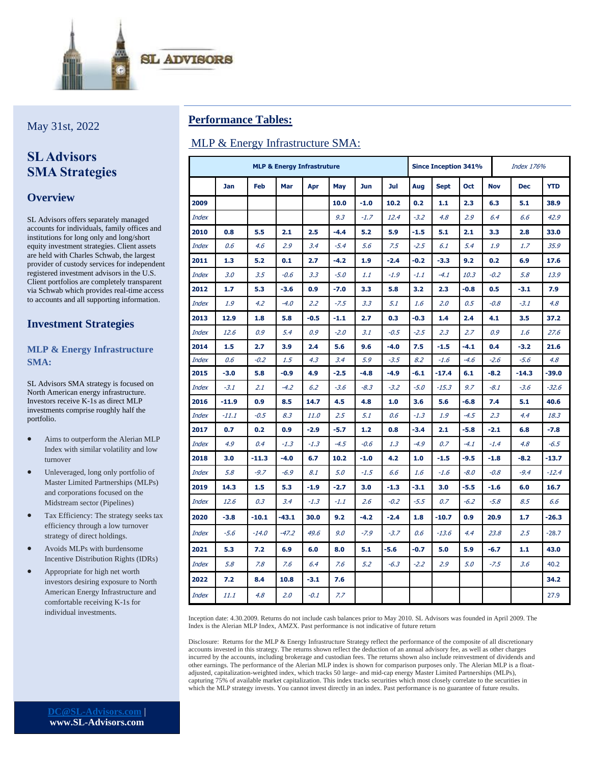

May 31st, 2022

# **SL Advisors SMA Strategies**

### **Overview**

SL Advisors offers separately managed accounts for individuals, family offices and institutions for long only and long/short equity investment strategies. Client assets are held with Charles Schwab, the largest provider of custody services for independent registered investment advisors in the U.S. Client portfolios are completely transparent via Schwab which provides real-time access to accounts and all supporting information.

### **Investment Strategies**

#### **MLP & Energy Infrastructure SMA:**

SL Advisors SMA strategy is focused on North American energy infrastructure. Investors receive K-1s as direct MLP investments comprise roughly half the portfolio.

- Aims to outperform the Alerian MLP Index with similar volatility and low turnover
- Unleveraged, long only portfolio of Master Limited Partnerships (MLPs) and corporations focused on the Midstream sector (Pipelines)
- Tax Efficiency: The strategy seeks tax efficiency through a low turnover strategy of direct holdings.
- Avoids MLPs with burdensome Incentive Distribution Rights (IDRs)
- Appropriate for high net worth investors desiring exposure to North American Energy Infrastructure and comfortable receiving K-1s for individual investments.

## **Performance Tables:**

### MLP & Energy Infrastructure SMA:

|              | <b>MLP &amp; Energy Infrastruture</b> |         |         |        |        |            |        |        | <b>Since Inception 341%</b> |        |            | Index 176% |            |  |
|--------------|---------------------------------------|---------|---------|--------|--------|------------|--------|--------|-----------------------------|--------|------------|------------|------------|--|
|              | <b>Jan</b>                            | Feb     | Mar     | Apr    | May    | <b>Jun</b> | Jul    | Aug    | <b>Sept</b>                 | Oct    | <b>Nov</b> | <b>Dec</b> | <b>YTD</b> |  |
| 2009         |                                       |         |         |        | 10.0   | $-1.0$     | 10.2   | 0.2    | 1.1                         | 2.3    | 6.3        | 5.1        | 38.9       |  |
| <b>Index</b> |                                       |         |         |        | 9.3    | $-1.7$     | 12.4   | $-3.2$ | 4.8                         | 2.9    | 6.4        | 6.6        | 42.9       |  |
| 2010         | 0.8                                   | 5.5     | 2.1     | 2.5    | $-4.4$ | 5.2        | 5.9    | $-1.5$ | 5.1                         | 2.1    | 3.3        | 2.8        | 33.0       |  |
| <b>Index</b> | 0.6                                   | 4.6     | 2.9     | 3.4    | $-5.4$ | 5.6        | 7.5    | $-2.5$ | 6.1                         | 5.4    | 1.9        | 1.7        | 35.9       |  |
| 2011         | 1.3                                   | 5.2     | 0.1     | 2.7    | $-4.2$ | 1.9        | $-2.4$ | $-0.2$ | $-3.3$                      | 9.2    | 0.2        | 6.9        | 17.6       |  |
| <b>Index</b> | 3.0                                   | 3.5     | $-0.6$  | 3.3    | $-5.0$ | 1.1        | $-1.9$ | $-1.1$ | $-4.1$                      | 10.3   | $-0.2$     | 5.8        | 13.9       |  |
| 2012         | 1.7                                   | 5.3     | $-3.6$  | 0.9    | $-7.0$ | 3.3        | 5.8    | 3.2    | 2.3                         | $-0.8$ | 0.5        | $-3.1$     | 7.9        |  |
| <b>Index</b> | 1.9                                   | 4.2     | $-4.0$  | 2.2    | $-7.5$ | 3.3        | 5.1    | 1.6    | 2.0                         | 0.5    | $-0.8$     | $-3.1$     | 4.8        |  |
| 2013         | 12.9                                  | 1.8     | 5.8     | $-0.5$ | $-1.1$ | 2.7        | 0.3    | $-0.3$ | 1.4                         | 2.4    | 4.1        | 3.5        | 37.2       |  |
| <b>Index</b> | 12.6                                  | 0.9     | 5.4     | 0.9    | $-2.0$ | 3.1        | $-0.5$ | $-2.5$ | 2.3                         | 2.7    | 0.9        | 1.6        | 27.6       |  |
| 2014         | 1.5                                   | 2.7     | 3.9     | 2.4    | 5.6    | 9.6        | $-4.0$ | 7.5    | $-1.5$                      | $-4.1$ | 0.4        | $-3.2$     | 21.6       |  |
| Index        | 0.6                                   | $-0.2$  | 1.5     | 4.3    | 3.4    | 5.9        | $-3.5$ | 8.2    | $-1.6$                      | $-4.6$ | $-2.6$     | $-5.6$     | 4.8        |  |
| 2015         | $-3.0$                                | 5.8     | $-0.9$  | 4.9    | $-2.5$ | $-4.8$     | $-4.9$ | $-6.1$ | $-17.4$                     | 6.1    | $-8.2$     | $-14.3$    | $-39.0$    |  |
| <b>Index</b> | $-3.1$                                | 2.1     | $-4.2$  | 6.2    | $-3.6$ | $-8.3$     | $-3.2$ | $-5.0$ | $-15.3$                     | 9.7    | $-8.1$     | $-3.6$     | $-32.6$    |  |
| 2016         | $-11.9$                               | 0.9     | 8.5     | 14.7   | 4.5    | 4.8        | 1.0    | 3.6    | 5.6                         | -6.8   | 7.4        | 5.1        | 40.6       |  |
| <b>Index</b> | $-11.1$                               | $-0.5$  | 8.3     | 11.0   | 2.5    | 5.1        | 0.6    | $-1.3$ | 1.9                         | $-4.5$ | 2.3        | 4.4        | 18.3       |  |
| 2017         | 0.7                                   | 0.2     | 0.9     | $-2.9$ | $-5.7$ | 1.2        | 0.8    | $-3.4$ | 2.1                         | $-5.8$ | $-2.1$     | 6.8        | $-7.8$     |  |
| <b>Index</b> | 4.9                                   | 0.4     | $-1.3$  | $-1.3$ | $-4.5$ | $-0.6$     | 1.3    | $-4.9$ | 0.7                         | $-4.1$ | $-1.4$     | 4.8        | $-6.5$     |  |
| 2018         | 3.0                                   | $-11.3$ | $-4.0$  | 6.7    | 10.2   | $-1.0$     | 4.2    | 1.0    | $-1.5$                      | $-9.5$ | $-1.8$     | $-8.2$     | $-13.7$    |  |
| <b>Index</b> | 5.8                                   | $-9.7$  | $-6.9$  | 8.1    | 5.0    | $-1.5$     | 6.6    | 1.6    | $-1.6$                      | $-8.0$ | $-0.8$     | $-9.4$     | $-12.4$    |  |
| 2019         | 14.3                                  | 1.5     | 5.3     | $-1.9$ | $-2.7$ | 3.0        | $-1.3$ | $-3.1$ | 3.0                         | $-5.5$ | $-1.6$     | 6.0        | 16.7       |  |
| <b>Index</b> | 12.6                                  | 0.3     | 3.4     | $-1.3$ | $-1.1$ | 2.6        | $-0.2$ | $-5.5$ | 0.7                         | $-6.2$ | $-5.8$     | 8.5        | 6.6        |  |
| 2020         | $-3.8$                                | $-10.1$ | $-43.1$ | 30.0   | 9.2    | $-4.2$     | $-2.4$ | 1.8    | $-10.7$                     | 0.9    | 20.9       | 1.7        | $-26.3$    |  |
| <b>Index</b> | $-5.6$                                | $-14.0$ | $-47.2$ | 49.6   | 9.0    | $-7.9$     | $-3.7$ | 0.6    | $-13.6$                     | 4.4    | 23.8       | 2.5        | $-28.7$    |  |
| 2021         | 5.3                                   | 7.2     | 6.9     | 6.0    | 8.0    | 5.1        | -5.6   | $-0.7$ | 5.0                         | 5.9    | $-6.7$     | 1.1        | 43.0       |  |
| <b>Index</b> | 5.8                                   | 7.8     | 7.6     | 6.4    | 7.6    | 5.2        | $-6.3$ | $-2.2$ | 2.9                         | 5.0    | $-7.5$     | 3.6        | 40.2       |  |
| 2022         | 7.2                                   | 8.4     | 10.8    | $-3.1$ | 7.6    |            |        |        |                             |        |            |            | 34.2       |  |
| <b>Index</b> | 11.1                                  | 4.8     | 2.0     | $-0.1$ | 7.7    |            |        |        |                             |        |            |            | 27.9       |  |

Inception date: 4.30.2009. Returns do not include cash balances prior to May 2010. SL Advisors was founded in April 2009. The Index is the Alerian MLP Index, AMZX. Past performance is not indicative of future return

Disclosure: Returns for the MLP & Energy Infrastructure Strategy reflect the performance of the composite of all discretionary accounts invested in this strategy. The returns shown reflect the deduction of an annual advisory fee, as well as other charges incurred by the accounts, including brokerage and custodian fees. The returns shown also include reinvestment of dividends and other earnings. The performance of the Alerian MLP index is shown for comparison purposes only. The Alerian MLP is a floatadjusted, capitalization-weighted index, which tracks 50 large- and mid-cap energy Master Limited Partnerships (MLPs), capturing 75% of available market capitalization. This index tracks securities which most closely correlate to the securities in which the MLP strategy invests. You cannot invest directly in an index. Past performance is no guarantee of future results.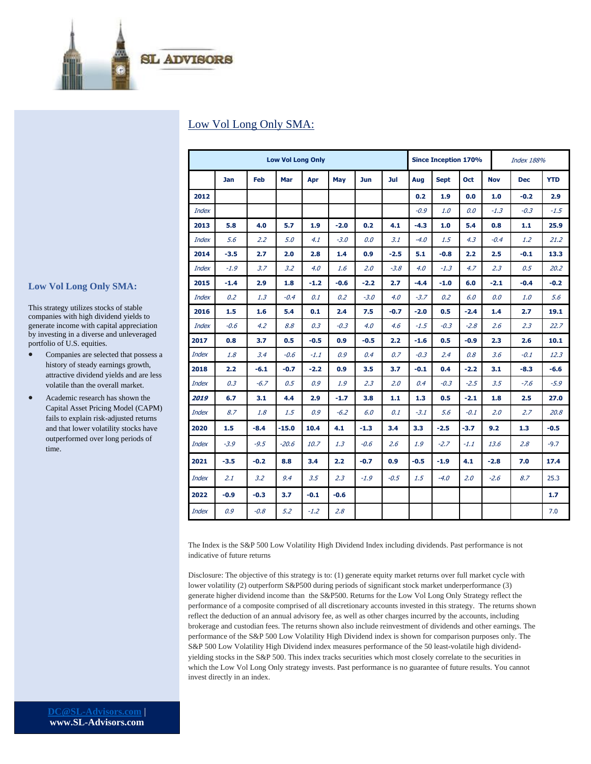

## Low Vol Long Only SMA:

|              | <b>Low Vol Long Only</b> |        |         |        |        |            |                  | <b>Since Inception 170%</b> |             |        |            | <b>Index 188%</b> |            |  |
|--------------|--------------------------|--------|---------|--------|--------|------------|------------------|-----------------------------|-------------|--------|------------|-------------------|------------|--|
|              | <b>Jan</b>               | Feb    | Mar     | Apr    | May    | <b>Jun</b> | Jul              | Aug                         | <b>Sept</b> | Oct    | <b>Nov</b> | <b>Dec</b>        | <b>YTD</b> |  |
| 2012         |                          |        |         |        |        |            |                  | 0.2                         | 1.9         | 0.0    | 1.0        | $-0.2$            | 2.9        |  |
| <b>Index</b> |                          |        |         |        |        |            |                  | $-0.9$                      | 1.0         | 0.0    | $-1.3$     | $-0.3$            | $-1.5$     |  |
| 2013         | 5.8                      | 4.0    | 5.7     | 1.9    | $-2.0$ | 0.2        | 4.1              | $-4.3$                      | 1.0         | 5.4    | 0.8        | 1.1               | 25.9       |  |
| <b>Index</b> | 5.6                      | 2.2    | 5.0     | 4.1    | $-3.0$ | 0.0        | 3.1              | $-4.0$                      | 1.5         | 4.3    | $-0.4$     | $1.2^{\circ}$     | 21.2       |  |
| 2014         | $-3.5$                   | 2.7    | 2.0     | 2.8    | 1.4    | 0.9        | $-2.5$           | 5.1                         | $-0.8$      | 2.2    | 2.5        | $-0.1$            | 13.3       |  |
| <b>Index</b> | $-1.9$                   | 3.7    | 3.2     | 4.0    | 1.6    | 2.0        | $-3.8$           | 4.0                         | $-1.3$      | 4.7    | 2.3        | 0.5               | 20.2       |  |
| 2015         | $-1.4$                   | 2.9    | 1.8     | $-1.2$ | $-0.6$ | $-2.2$     | 2.7 <sub>2</sub> | $-4.4$                      | $-1.0$      | 6.0    | $-2.1$     | $-0.4$            | $-0.2$     |  |
| <b>Index</b> | 0.2                      | 1.3    | $-0.4$  | 0.1    | 0.2    | $-3.0$     | 4.0              | $-3.7$                      | 0.2         | 6.0    | 0.0        | 1.0               | 5.6        |  |
| 2016         | 1.5                      | 1.6    | 5.4     | 0.1    | 2.4    | 7.5        | $-0.7$           | $-2.0$                      | 0.5         | $-2.4$ | 1.4        | 2.7               | 19.1       |  |
| <b>Index</b> | $-0.6$                   | 4.2    | 8.8     | 0.3    | $-0.3$ | 4.0        | 4.6              | $-1.5$                      | $-0.3$      | $-2.8$ | 2.6        | 2.3               | 22.7       |  |
| 2017         | 0.8                      | 3.7    | 0.5     | $-0.5$ | 0.9    | $-0.5$     | 2.2              | $-1.6$                      | 0.5         | $-0.9$ | 2.3        | 2.6               | 10.1       |  |
| <b>Index</b> | 1.8                      | 3.4    | $-0.6$  | $-1.1$ | 0.9    | 0.4        | 0.7              | $-0.3$                      | 2.4         | 0.8    | 3.6        | $-0.1$            | 12.3       |  |
| 2018         | 2.2                      | $-6.1$ | $-0.7$  | $-2.2$ | 0.9    | 3.5        | 3.7              | $-0.1$                      | 0.4         | $-2.2$ | 3.1        | $-8.3$            | $-6.6$     |  |
| <b>Index</b> | 0.3                      | $-6.7$ | 0.5     | 0.9    | 1.9    | 2.3        | 2.0              | 0.4                         | $-0.3$      | $-2.5$ | 3.5        | $-7.6$            | $-5.9$     |  |
| 2019         | 6.7                      | 3.1    | 4.4     | 2.9    | $-1.7$ | 3.8        | 1.1              | 1.3                         | 0.5         | $-2.1$ | 1.8        | 2.5               | 27.0       |  |
| <b>Index</b> | 8.7                      | 1.8    | 1.5     | 0.9    | $-6.2$ | 6.0        | 0.1              | $-3.1$                      | 5.6         | $-0.1$ | 2.0        | 2.7               | 20.8       |  |
| 2020         | 1.5                      | $-8.4$ | $-15.0$ | 10.4   | 4.1    | $-1.3$     | 3.4              | 3.3 <sub>1</sub>            | $-2.5$      | $-3.7$ | 9.2        | 1.3 <sub>1</sub>  | $-0.5$     |  |
| <b>Index</b> | $-3.9$                   | $-9.5$ | $-20.6$ | 10.7   | 1.3    | $-0.6$     | 2.6              | 1.9                         | $-2.7$      | $-1.1$ | 13.6       | 2.8               | $-9.7$     |  |
| 2021         | $-3.5$                   | $-0.2$ | 8.8     | 3.4    | 2.2    | $-0.7$     | 0.9              | $-0.5$                      | $-1.9$      | 4.1    | $-2.8$     | 7.0               | 17.4       |  |
| <b>Index</b> | 2.1                      | 3.2    | 9.4     | 3.5    | 2.3    | $-1.9$     | $-0.5$           | 1.5                         | $-4.0$      | 2.0    | $-2.6$     | 8.7               | 25.3       |  |
| 2022         | $-0.9$                   | $-0.3$ | 3.7     | $-0.1$ | $-0.6$ |            |                  |                             |             |        |            |                   | 1.7        |  |
| <b>Index</b> | 0.9                      | $-0.8$ | 5.2     | $-1.2$ | 2.8    |            |                  |                             |             |        |            |                   | 7.0        |  |

**Low Vol Long Only SMA:**

This strategy utilizes stocks of stable companies with high dividend yields to generate income with capital appreciation by investing in a diverse and unleveraged portfolio of U.S. equities.

- Companies are selected that possess a history of steady earnings growth, attractive dividend yields and are less volatile than the overall market.
- Academic research has shown the Capital Asset Pricing Model (CAPM) fails to explain risk-adjusted returns and that lower volatility stocks have outperformed over long periods of time.

The Index is the S&P 500 Low Volatility High Dividend Index including dividends. Past performance is not indicative of future returns

Disclosure: The objective of this strategy is to: (1) generate equity market returns over full market cycle with lower volatility (2) outperform S&P500 during periods of significant stock market underperformance (3) generate higher dividend income than the S&P500. Returns for the Low Vol Long Only Strategy reflect the performance of a composite comprised of all discretionary accounts invested in this strategy. The returns shown reflect the deduction of an annual advisory fee, as well as other charges incurred by the accounts, including brokerage and custodian fees. The returns shown also include reinvestment of dividends and other earnings. The performance of the S&P 500 Low Volatility High Dividend index is shown for comparison purposes only. The S&P 500 Low Volatility High Dividend index measures performance of the 50 least-volatile high dividendyielding stocks in the S&P 500. This index tracks securities which most closely correlate to the securities in which the Low Vol Long Only strategy invests. Past performance is no guarantee of future results. You cannot invest directly in an index.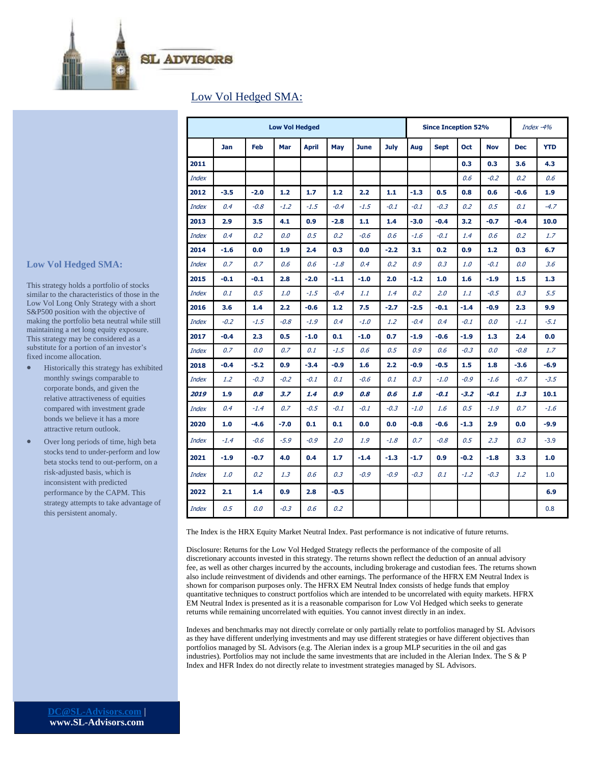

### Low Vol Hedged SMA:

|              | <b>Low Vol Hedged</b> |        |        |              |                  |             |        |        | <b>Since Inception 52%</b> | Index $-4%$ |            |            |               |
|--------------|-----------------------|--------|--------|--------------|------------------|-------------|--------|--------|----------------------------|-------------|------------|------------|---------------|
|              | <b>Jan</b>            | Feb    | Mar    | <b>April</b> | May              | <b>June</b> | July   | Aug    | <b>Sept</b>                | Oct         | <b>Nov</b> | <b>Dec</b> | <b>YTD</b>    |
| 2011         |                       |        |        |              |                  |             |        |        |                            | 0.3         | 0.3        | 3.6        | 4.3           |
| <b>Index</b> |                       |        |        |              |                  |             |        |        |                            | 0.6         | $-0.2$     | 0.2        | 0.6           |
| 2012         | $-3.5$                | $-2.0$ | $1.2$  | 1.7          | 1.2              | 2.2         | 1.1    | $-1.3$ | 0.5                        | 0.8         | 0.6        | $-0.6$     | 1.9           |
| <b>Index</b> | 0.4                   | $-0.8$ | $-1.2$ | $-1.5$       | $-0.4$           | $-1.5$      | $-0.1$ | $-0.1$ | $-0.3$                     | 0.2         | 0.5        | 0.1        | $-4.7$        |
| 2013         | 2.9                   | 3.5    | 4.1    | 0.9          | $-2.8$           | 1.1         | 1.4    | $-3.0$ | $-0.4$                     | 3.2         | $-0.7$     | $-0.4$     | 10.0          |
| <b>Index</b> | 0.4                   | 0.2    | 0.0    | 0.5          | 0.2              | $-0.6$      | 0.6    | $-1.6$ | $-0.1$                     | 1.4         | 0.6        | 0.2        | $1.7^{\circ}$ |
| 2014         | $-1.6$                | 0.0    | 1.9    | 2.4          | 0.3              | 0.0         | $-2.2$ | 3.1    | 0.2                        | 0.9         | 1.2        | 0.3        | 6.7           |
| <b>Index</b> | 0.7                   | 0.7    | 0.6    | 0.6          | $-1.8$           | 0.4         | 0.2    | 0.9    | 0.3                        | 1.0         | $-0.1$     | 0.0        | 3.6           |
| 2015         | $-0.1$                | $-0.1$ | 2.8    | $-2.0$       | $-1.1$           | $-1.0$      | 2.0    | $-1.2$ | 1.0                        | 1.6         | $-1.9$     | 1.5        | 1.3           |
| <b>Index</b> | 0.1                   | 0.5    | 1.0    | $-1.5$       | $-0.4$           | 1.1         | 1.4    | 0.2    | 2.0                        | 1.1         | $-0.5$     | 0.3        | 5.5           |
| 2016         | 3.6                   | 1.4    | 2.2    | $-0.6$       | 1.2 <sub>1</sub> | 7.5         | $-2.7$ | $-2.5$ | $-0.1$                     | $-1.4$      | $-0.9$     | 2.3        | 9.9           |
| <b>Index</b> | $-0.2$                | $-1.5$ | $-0.8$ | $-1.9$       | 0.4              | $-1.0$      | 1.2    | $-0.4$ | 0.4                        | $-0.1$      | 0.0        | -1.1       | $-5.1$        |
| 2017         | $-0.4$                | 2.3    | 0.5    | $-1.0$       | 0.1              | $-1.0$      | 0.7    | $-1.9$ | $-0.6$                     | $-1.9$      | 1.3        | 2.4        | 0.0           |
| <b>Index</b> | 0.7                   | 0.0    | 0.7    | 0.1          | $-1.5$           | 0.6         | 0.5    | 0.9    | 0.6                        | $-0.3$      | 0.0        | $-0.8$     | 1.7           |
| 2018         | $-0.4$                | $-5.2$ | 0.9    | $-3.4$       | $-0.9$           | 1.6         | 2.2    | -0.9   | $-0.5$                     | 1.5         | 1.8        | $-3.6$     | $-6.9$        |
| <b>Index</b> | 1.2                   | $-0.3$ | $-0.2$ | $-0.1$       | 0.1              | $-0.6$      | 0.1    | 0.3    | $-1.0$                     | $-0.9$      | $-1.6$     | $-0.7$     | $-3.5$        |
| 2019         | 1.9                   | 0.8    | 3.7    | 1.4          | 0.9              | 0.8         | 0.6    | 1.8    | $-0.1$                     | $-3.2$      | $-0.1$     | 1.3        | 10.1          |
| <b>Index</b> | 0.4                   | $-1.4$ | 0.7    | $-0.5$       | $-0.1$           | $-0.1$      | $-0.3$ | $-1.0$ | 1.6                        | 0.5         | $-1.9$     | 0.7        | $-1.6$        |
| 2020         | 1.0                   | $-4.6$ | $-7.0$ | 0.1          | 0.1              | 0.0         | 0.0    | $-0.8$ | $-0.6$                     | $-1.3$      | 2.9        | 0.0        | $-9.9$        |
| <b>Index</b> | $-1.4$                | $-0.6$ | $-5.9$ | $-0.9$       | 2.0              | 1.9         | $-1.8$ | 0.7    | $-0.8$                     | 0.5         | 2.3        | 0.3        | $-3.9$        |
| 2021         | $-1.9$                | $-0.7$ | 4.0    | 0.4          | 1.7              | $-1.4$      | $-1.3$ | $-1.7$ | 0.9 <sub>2</sub>           | $-0.2$      | $-1.8$     | 3.3        | 1.0           |
| <b>Index</b> | 1.0                   | 0.2    | 1.3    | 0.6          | 0.3              | $-0.9$      | $-0.9$ | $-0.3$ | 0.1                        | $-1.2$      | $-0.3$     | 1.2        | 1.0           |
| 2022         | 2.1                   | 1.4    | 0.9    | 2.8          | $-0.5$           |             |        |        |                            |             |            |            | 6.9           |
| <b>Index</b> | 0.5                   | 0.0    | $-0.3$ | 0.6          | 0.2              |             |        |        |                            |             |            |            | 0.8           |

The Index is the HRX Equity Market Neutral Index. Past performance is not indicative of future returns.

Disclosure: Returns for the Low Vol Hedged Strategy reflects the performance of the composite of all discretionary accounts invested in this strategy. The returns shown reflect the deduction of an annual advisory fee, as well as other charges incurred by the accounts, including brokerage and custodian fees. The returns shown also include reinvestment of dividends and other earnings. The performance of the HFRX EM Neutral Index is shown for comparison purposes only. The HFRX EM Neutral Index consists of hedge funds that employ quantitative techniques to construct portfolios which are intended to be uncorrelated with equity markets. HFRX EM Neutral Index is presented as it is a reasonable comparison for Low Vol Hedged which seeks to generate returns while remaining uncorrelated with equities. You cannot invest directly in an index.

Indexes and benchmarks may not directly correlate or only partially relate to portfolios managed by SL Advisors as they have different underlying investments and may use different strategies or have different objectives than portfolios managed by SL Advisors (e.g. The Alerian index is a group MLP securities in the oil and gas industries). Portfolios may not include the same investments that are included in the Alerian Index. The S & P Index and HFR Index do not directly relate to investment strategies managed by SL Advisors.

#### **Low Vol Hedged SMA:**

This strategy holds a portfolio of stocks similar to the characteristics of those in the Low Vol Long Only Strategy with a short S&P500 position with the objective of making the portfolio beta neutral while still maintaining a net long equity exposure. This strategy may be considered as a substitute for a portion of an investor's fixed income allocation.

- Historically this strategy has exhibited monthly swings comparable to corporate bonds, and given the relative attractiveness of equities compared with investment grade bonds we believe it has a more attractive return outlook.
- Over long periods of time, high beta stocks tend to under-perform and low beta stocks tend to out-perform, on a risk-adjusted basis, which is inconsistent with predicted performance by the CAPM. This strategy attempts to take advantage of this persistent anomaly.

**[DC@SL-Advisors.com](mailto:DC@SL-Advisors.com)** | **www.SL-Advisors.com**